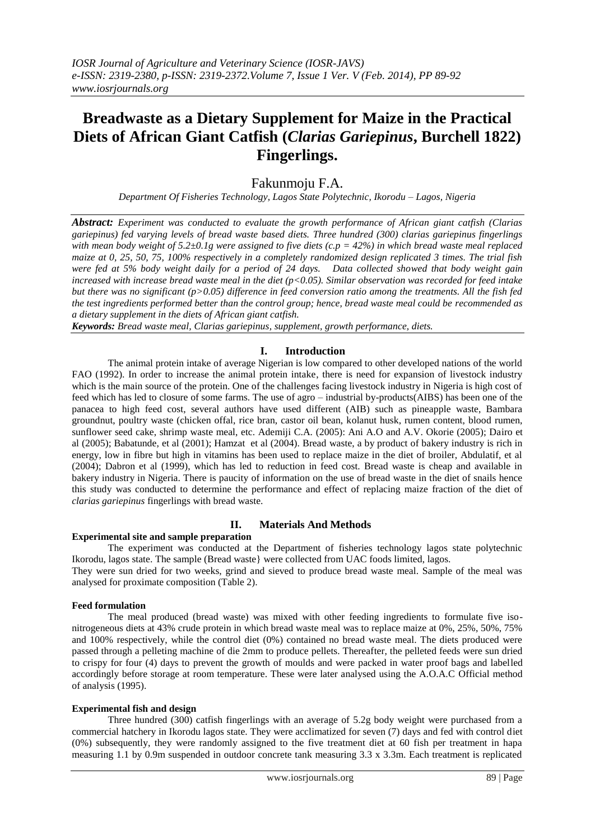# **Breadwaste as a Dietary Supplement for Maize in the Practical Diets of African Giant Catfish (***Clarias Gariepinus***, Burchell 1822) Fingerlings.**

## Fakunmoju F.A.

*Department Of Fisheries Technology, Lagos State Polytechnic, Ikorodu – Lagos, Nigeria*

*Abstract: Experiment was conducted to evaluate the growth performance of African giant catfish (Clarias gariepinus) fed varying levels of bread waste based diets. Three hundred (300) clarias gariepinus fingerlings with mean body weight of 5.2±0.1g were assigned to five diets (c.p = 42%) in which bread waste meal replaced maize at 0, 25, 50, 75, 100% respectively in a completely randomized design replicated 3 times. The trial fish were fed at 5% body weight daily for a period of 24 days. Data collected showed that body weight gain increased with increase bread waste meal in the diet (p<0.05). Similar observation was recorded for feed intake but there was no significant (p>0.05) difference in feed conversion ratio among the treatments. All the fish fed the test ingredients performed better than the control group; hence, bread waste meal could be recommended as a dietary supplement in the diets of African giant catfish.*

*Keywords: Bread waste meal, Clarias gariepinus, supplement, growth performance, diets.*

## **I. Introduction**

The animal protein intake of average Nigerian is low compared to other developed nations of the world FAO (1992). In order to increase the animal protein intake, there is need for expansion of livestock industry which is the main source of the protein. One of the challenges facing livestock industry in Nigeria is high cost of feed which has led to closure of some farms. The use of agro – industrial by-products(AIBS) has been one of the panacea to high feed cost, several authors have used different (AIB) such as pineapple waste, Bambara groundnut, poultry waste (chicken offal, rice bran, castor oil bean, kolanut husk, rumen content, blood rumen, sunflower seed cake, shrimp waste meal, etc. Ademiji C.A. (2005): Ani A.O and A.V. Okorie (2005); Dairo et al (2005); Babatunde, et al (2001); Hamzat et al (2004). Bread waste, a by product of bakery industry is rich in energy, low in fibre but high in vitamins has been used to replace maize in the diet of broiler, Abdulatif, et al (2004); Dabron et al (1999), which has led to reduction in feed cost. Bread waste is cheap and available in bakery industry in Nigeria. There is paucity of information on the use of bread waste in the diet of snails hence this study was conducted to determine the performance and effect of replacing maize fraction of the diet of *clarias gariepinus* fingerlings with bread waste.

## **II. Materials And Methods**

## **Experimental site and sample preparation**

The experiment was conducted at the Department of fisheries technology lagos state polytechnic Ikorodu, lagos state. The sample (Bread waste} were collected from UAC foods limited, lagos.

They were sun dried for two weeks, grind and sieved to produce bread waste meal. Sample of the meal was analysed for proximate composition (Table 2).

#### **Feed formulation**

The meal produced (bread waste) was mixed with other feeding ingredients to formulate five isonitrogeneous diets at 43% crude protein in which bread waste meal was to replace maize at 0%, 25%, 50%, 75% and 100% respectively, while the control diet (0%) contained no bread waste meal. The diets produced were passed through a pelleting machine of die 2mm to produce pellets. Thereafter, the pelleted feeds were sun dried to crispy for four (4) days to prevent the growth of moulds and were packed in water proof bags and labelled accordingly before storage at room temperature. These were later analysed using the A.O.A.C Official method of analysis (1995).

#### **Experimental fish and design**

Three hundred (300) catfish fingerlings with an average of 5.2g body weight were purchased from a commercial hatchery in Ikorodu lagos state. They were acclimatized for seven (7) days and fed with control diet (0%) subsequently, they were randomly assigned to the five treatment diet at 60 fish per treatment in hapa measuring 1.1 by 0.9m suspended in outdoor concrete tank measuring 3.3 x 3.3m. Each treatment is replicated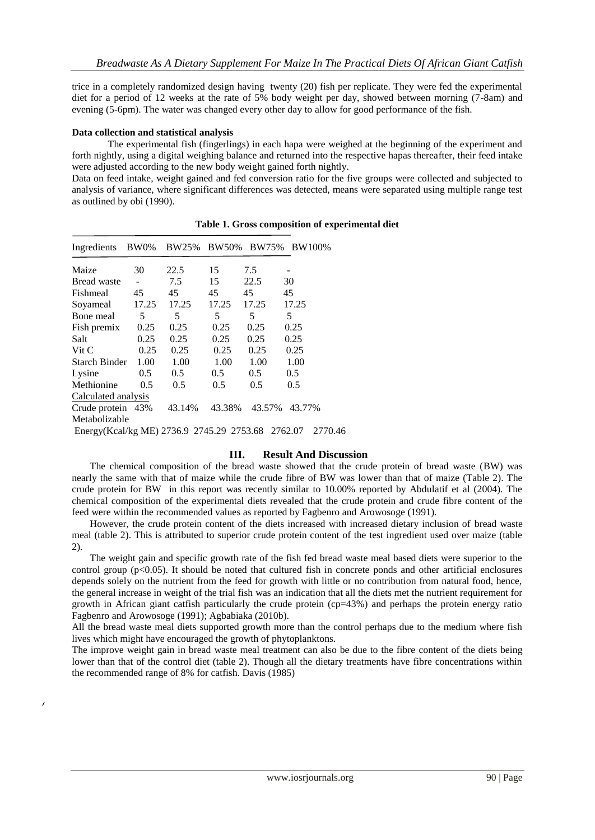trice in a completely randomized design having twenty (20) fish per replicate. They were fed the experimental diet for a period of 12 weeks at the rate of 5% body weight per day, showed between morning (7-8am) and evening (5-6pm). The water was changed every other day to allow for good performance of the fish.

#### **Data collection and statistical analysis**

The experimental fish (fingerlings) in each hapa were weighed at the beginning of the experiment and forth nightly, using a digital weighing balance and returned into the respective hapas thereafter, their feed intake were adjusted according to the new body weight gained forth nightly.

Data on feed intake, weight gained and fed conversion ratio for the five groups were collected and subjected to analysis of variance, where significant differences was detected, means were separated using multiple range test as outlined by obi (1990).

| Ingredients                                       | BW0%  | <b>BW25%</b> | <b>BW50%</b> | <b>BW75%</b> | <b>BW100%</b> |
|---------------------------------------------------|-------|--------------|--------------|--------------|---------------|
| Maize                                             | 30    | 22.5         | 15           | 7.5          |               |
| <b>Bread</b> waste                                |       | 7.5          | 15           | 22.5         | 30            |
| Fishmeal                                          | 45    | 45           | 45           | 45           | 45            |
| Soyameal                                          | 17.25 | 17.25        | 17.25        | 17.25        | 17.25         |
| Bone meal                                         | 5     | 5            | 5            | 5            | 5             |
| Fish premix                                       | 0.25  | 0.25         | 0.25         | 0.25         | 0.25          |
| Salt                                              | 0.25  | 0.25         | 0.25         | 0.25         | 0.25          |
| Vit C                                             | 0.25  | 0.25         | 0.25         | 0.25         | 0.25          |
| <b>Starch Binder</b>                              | 1.00  | 1.00         | 1.00         | 1.00         | 1.00          |
| Lysine                                            | 0.5   | 0.5          | 0.5          | 0.5          | $0.5^{\circ}$ |
| Methionine                                        | 0.5   | 0.5          | 0.5          | 0.5          | 0.5           |
| Calculated analysis                               |       |              |              |              |               |
| Crude protein 43%                                 |       | 43.14%       | 43.38%       | 43.57%       | 43.77%        |
| Metabolizable                                     |       |              |              |              |               |
| Energy(Kcal/kg ME) 2736.9 2745.29 2753.68 2762.07 |       |              |              |              | 2770.46       |

#### **Table 1. Gross composition of experimental diet**

#### **III. Result And Discussion**

The chemical composition of the bread waste showed that the crude protein of bread waste (BW) was nearly the same with that of maize while the crude fibre of BW was lower than that of maize (Table 2). The crude protein for BW in this report was recently similar to 10.00% reported by Abdulatif et al (2004). The chemical composition of the experimental diets revealed that the crude protein and crude fibre content of the feed were within the recommended values as reported by Fagbenro and Arowosoge (1991).

However, the crude protein content of the diets increased with increased dietary inclusion of bread waste meal (table 2). This is attributed to superior crude protein content of the test ingredient used over maize (table 2).

The weight gain and specific growth rate of the fish fed bread waste meal based diets were superior to the control group  $(p<0.05)$ . It should be noted that cultured fish in concrete ponds and other artificial enclosures depends solely on the nutrient from the feed for growth with little or no contribution from natural food, hence, the general increase in weight of the trial fish was an indication that all the diets met the nutrient requirement for growth in African giant catfish particularly the crude protein (cp=43%) and perhaps the protein energy ratio Fagbenro and Arowosoge (1991); Agbabiaka (2010b).

All the bread waste meal diets supported growth more than the control perhaps due to the medium where fish lives which might have encouraged the growth of phytoplanktons.

The improve weight gain in bread waste meal treatment can also be due to the fibre content of the diets being lower than that of the control diet (table 2). Though all the dietary treatments have fibre concentrations within the recommended range of 8% for catfish. Davis (1985)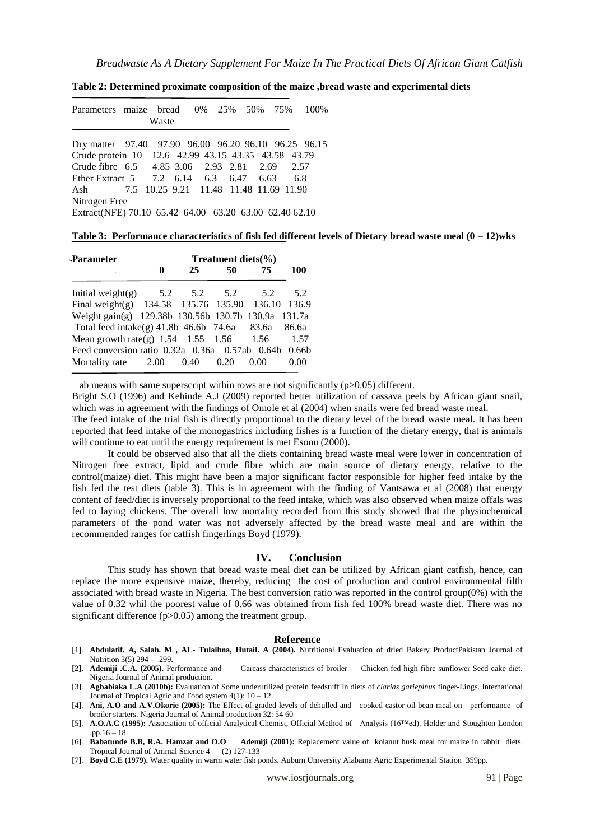| Parameters maize bread 0% 25% 50% 75% 100%             | Waste                                  |  |  |     |  |
|--------------------------------------------------------|----------------------------------------|--|--|-----|--|
| Dry matter 97.40 97.90 96.00 96.20 96.10 96.25 96.15   |                                        |  |  |     |  |
| Crude protein 10 12.6 42.99 43.15 43.35 43.58 43.79    |                                        |  |  |     |  |
| Crude fibre 6.5 4.85 3.06 2.93 2.81 2.69 2.57          |                                        |  |  |     |  |
| Ether Extract 5 7.2 6.14 6.3 6.47 6.63                 |                                        |  |  | 6.8 |  |
| Ash                                                    | 7.5 10.25 9.21 11.48 11.48 11.69 11.90 |  |  |     |  |
| Nitrogen Free                                          |                                        |  |  |     |  |
| Extract(NFE) 70.10 65.42 64.00 63.20 63.00 62.40 62.10 |                                        |  |  |     |  |

**Table 2: Determined proximate composition of the maize ,bread waste and experimental diets**

#### **Table 3: Performance characteristics of fish fed different levels of Dietary bread waste meal (0 – 12)wks**

| <b>Parameter</b>                                     |   | Treatment diets $(\% )$ |      |      |       |  |  |  |
|------------------------------------------------------|---|-------------------------|------|------|-------|--|--|--|
|                                                      | 0 | 25                      | 50   | 75   | 100   |  |  |  |
| Initial weight(g) $5.2$ $5.2$ $5.2$                  |   |                         |      | 5.2  | 5.2   |  |  |  |
| Final weight(g) 134.58 135.76 135.90 136.10          |   |                         |      |      | 136.9 |  |  |  |
| Weight gain(g) 129.38b 130.56b 130.7b 130.9a 131.7a  |   |                         |      |      |       |  |  |  |
| Total feed intake(g) $41.8b$ 46.6b 74.6a 83.6a       |   |                         |      |      | 86.6a |  |  |  |
| Mean growth rate(g) $1.54$ $1.55$ $1.56$ $1.56$      |   |                         |      |      | 1.57  |  |  |  |
| Feed conversion ratio 0.32a 0.36a 0.57ab 0.64b 0.66b |   |                         |      |      |       |  |  |  |
| Mortality rate $2.00$ 0.40                           |   |                         | 0.20 | 0.00 | 0.00  |  |  |  |

ab means with same superscript within rows are not significantly (p>0.05) different.

Bright S.O (1996) and Kehinde A.J (2009) reported better utilization of cassava peels by African giant snail, which was in agreement with the findings of Omole et al (2004) when snails were fed bread waste meal.

The feed intake of the trial fish is directly proportional to the dietary level of the bread waste meal. It has been reported that feed intake of the monogastrics including fishes is a function of the dietary energy, that is animals will continue to eat until the energy requirement is met Esonu (2000).

It could be observed also that all the diets containing bread waste meal were lower in concentration of Nitrogen free extract, lipid and crude fibre which are main source of dietary energy, relative to the control(maize) diet. This might have been a major significant factor responsible for higher feed intake by the fish fed the test diets (table 3). This is in agreement with the finding of Vantsawa et al (2008) that energy content of feed/diet is inversely proportional to the feed intake, which was also observed when maize offals was fed to laying chickens. The overall low mortality recorded from this study showed that the physiochemical parameters of the pond water was not adversely affected by the bread waste meal and are within the recommended ranges for catfish fingerlings Boyd (1979).

#### **IV. Conclusion**

This study has shown that bread waste meal diet can be utilized by African giant catfish, hence, can replace the more expensive maize, thereby, reducing the cost of production and control environmental filth associated with bread waste in Nigeria. The best conversion ratio was reported in the control group(0%) with the value of 0.32 whil the poorest value of 0.66 was obtained from fish fed 100% bread waste diet. There was no significant difference (p>0.05) among the treatment group.

#### **Reference**

- [1]. **Abdulatif. A, Salah. M , AL- Tulaihna, Hutail. A (2004).** Nutritional Evaluation of dried Bakery ProductPakistan Journal of Nutrition 3(5) 294 - 299.
- **[2]. Ademiji .C.A. (2005).** Performance and Carcass characteristics of broiler Chicken fed high fibre sunflower Seed cake diet. Nigeria Journal of Animal production.
- [3]. **Agbabiaka L.A (2010b):** Evaluation of Some underutilized protein feedstuff In diets of *clarias gariepinus* finger-Lings. International Journal of Tropical Agric and Food system 4(1): 10 – 12.
- [4]. **Ani, A.O and A.V.Okorie (2005):** The Effect of graded levels of dehulled and cooked castor oil bean meal on performance of broiler starters. Nigeria Journal of Animal production 32: 54 60
- [5]. **A.O.A.C (1995):** Association of official Analytical Chemist, Official Method of Analysis (16™ed). Holder and Stoughton London .pp.16 – 18.
- [6]. **Babatunde B.B, R.A. Hamzat and O.O Ademiji (2001):** Replacement value of kolanut husk meal for maize in rabbit diets. Tropical Journal of Animal Science 4 (2) 127-133
- [7]. **Boyd C.E (1979).** Water quality in warm water fish ponds. Auburn University Alabama Agric Experimental Station 359pp.